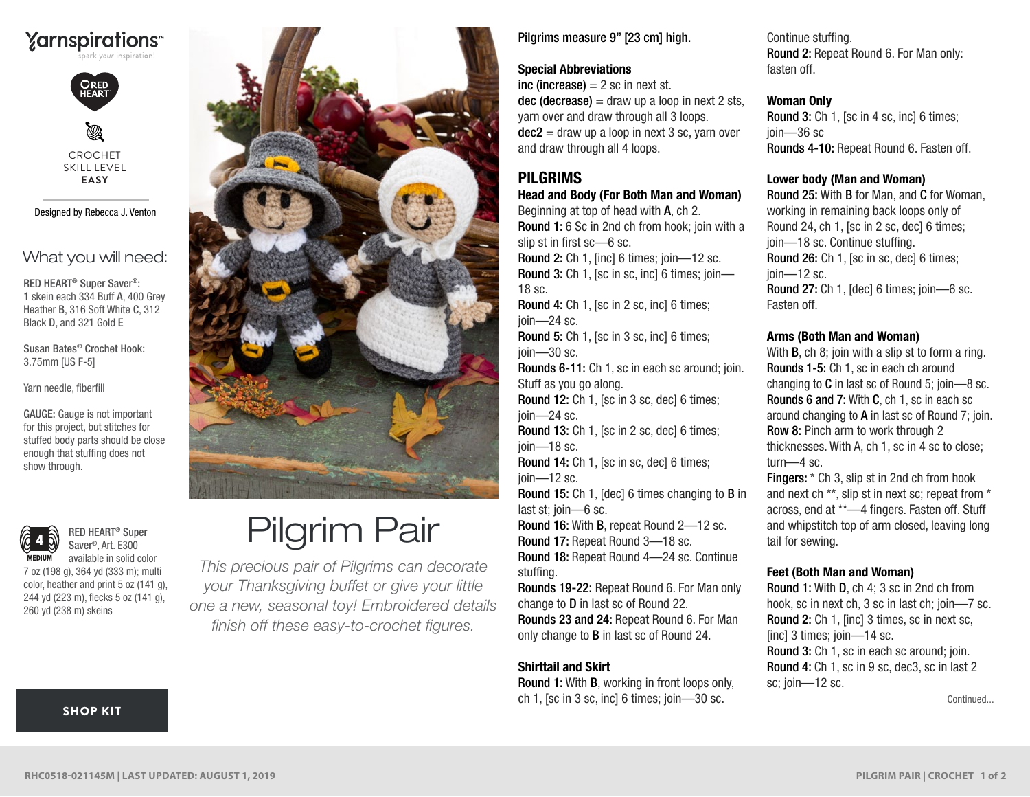



Ø CROCHET SKILL LEVEL **EASY**

Designed by Rebecca J. Venton

# What you will need:

RED HEART® Super Saver®: 1 skein each 334 Buff A, 400 Grey Heather B, 316 Soft White C, 312 Black D, and 321 Gold E

Susan Bates® Crochet Hook: 3.75mm [US F-5]

Yarn needle, fiberfill

GAUGE: Gauge is not important for this project, but stitches for stuffed body parts should be close enough that stuffing does not show through.



RED HEART® Super Saver®, Art. E300 available in solid color

7 oz (198 g), 364 yd (333 m); multi color, heather and print 5 oz (141 g), 244 yd (223 m), flecks 5 oz (141 g), 260 yd (238 m) skeins



# Pilgrim Pair

*This precious pair of Pilgrims can decorate your Thanksgiving buffet or give your little one a new, seasonal toy! Embroidered details finish off these easy-to-crochet figures.*

# Pilgrims measure 9" [23 cm] high.

#### Special Abbreviations

inc (increase)  $= 2$  sc in next st.  $dec$  (decrease) = draw up a loop in next 2 sts, yarn over and draw through all 3 loops.  $dec2 =$  draw up a loop in next 3 sc, varn over and draw through all 4 loops.

# PILGRIMS

# Head and Body (For Both Man and Woman)

Beginning at top of head with A, ch 2. Round 1: 6 Sc in 2nd ch from hook; join with a slip st in first sc—6 sc.

Round 2: Ch 1, [inc] 6 times; join—12 sc. Round 3: Ch 1, [sc in sc, inc] 6 times; join— 18 sc.

Round 4: Ch 1, [sc in 2 sc, inc] 6 times; join—24 sc.

Round 5: Ch 1, [sc in 3 sc, inc] 6 times; join—30 sc.

Rounds 6-11: Ch 1, sc in each sc around; join. Stuff as you go along.

Round 12: Ch 1, [sc in 3 sc, dec] 6 times; join—24 sc.

Round 13: Ch 1, [sc in 2 sc, dec] 6 times; ioin—18 sc.

Round 14: Ch 1, [sc in sc, dec] 6 times; join—12 sc.

Round 15: Ch 1, [dec] 6 times changing to B in last st; join—6 sc.

Round 16: With B, repeat Round 2—12 sc. Round 17: Repeat Round 3—18 sc. Round 18: Repeat Round 4—24 sc. Continue stuffing.

Rounds 19-22: Repeat Round 6. For Man only change to D in last sc of Round 22. Rounds 23 and 24: Repeat Round 6. For Man only change to B in last sc of Round 24.

# Shirttail and Skirt

Round 1: With B, working in front loops only, ch 1, [sc in 3 sc, inc] 6 times; join—30 sc.

Continue stuffing. Round 2: Repeat Round 6. For Man only: fasten off.

#### Woman Only

Round 3: Ch 1, [sc in 4 sc, inc] 6 times; join—36 sc Rounds 4-10: Repeat Round 6. Fasten off.

#### Lower body (Man and Woman)

Round 25: With B for Man, and C for Woman, working in remaining back loops only of Round 24, ch 1, [sc in 2 sc, dec] 6 times; join—18 sc. Continue stuffing. Round 26: Ch 1, [sc in sc, dec] 6 times; join—12 sc. Round 27: Ch 1, [dec] 6 times; join—6 sc. Fasten off.

#### Arms (Both Man and Woman)

With **B**, ch 8; join with a slip st to form a ring. Rounds 1-5: Ch 1, sc in each ch around changing to C in last sc of Round 5; join—8 sc. Rounds 6 and 7: With C, ch 1, sc in each sc around changing to A in last sc of Round 7; join. Row 8: Pinch arm to work through 2 thicknesses. With A, ch 1, sc in 4 sc to close; turn—4 sc.

Fingers: \* Ch 3, slip st in 2nd ch from hook and next ch \*\*, slip st in next sc; repeat from \* across, end at \*\*—4 fingers. Fasten off. Stuff and whipstitch top of arm closed, leaving long tail for sewing.

#### Feet (Both Man and Woman)

Round 1: With D, ch 4; 3 sc in 2nd ch from hook, sc in next ch, 3 sc in last ch; join—7 sc. Round 2: Ch 1, [inc] 3 times, sc in next sc, [inc] 3 times; join-14 sc. Round 3: Ch 1, sc in each sc around; join. Round 4: Ch 1, sc in 9 sc, dec3, sc in last 2 sc; join—12 sc.

Continued...

#### [SHOP KIT](https://www.yarnspirations.com/red-heart-pilgrim-pair/RHC0518-021145M.html#utm_source=pdf-yarnspirations&utm_medium=referral&utm_campaign=pdf-RHC0518-021145M)